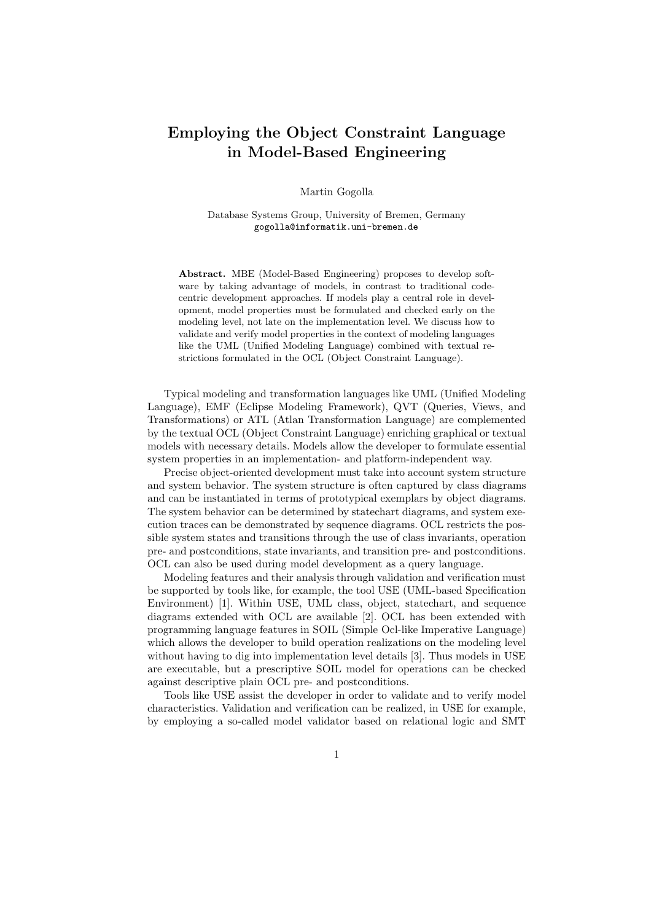## Employing the Object Constraint Language in Model-Based Engineering

Martin Gogolla

Database Systems Group, University of Bremen, Germany gogolla@informatik.uni-bremen.de

Abstract. MBE (Model-Based Engineering) proposes to develop software by taking advantage of models, in contrast to traditional codecentric development approaches. If models play a central role in development, model properties must be formulated and checked early on the modeling level, not late on the implementation level. We discuss how to validate and verify model properties in the context of modeling languages like the UML (Unified Modeling Language) combined with textual restrictions formulated in the OCL (Object Constraint Language).

Typical modeling and transformation languages like UML (Unified Modeling Language), EMF (Eclipse Modeling Framework), QVT (Queries, Views, and Transformations) or ATL (Atlan Transformation Language) are complemented by the textual OCL (Object Constraint Language) enriching graphical or textual models with necessary details. Models allow the developer to formulate essential system properties in an implementation- and platform-independent way.

Precise object-oriented development must take into account system structure and system behavior. The system structure is often captured by class diagrams and can be instantiated in terms of prototypical exemplars by object diagrams. The system behavior can be determined by statechart diagrams, and system execution traces can be demonstrated by sequence diagrams. OCL restricts the possible system states and transitions through the use of class invariants, operation pre- and postconditions, state invariants, and transition pre- and postconditions. OCL can also be used during model development as a query language.

Modeling features and their analysis through validation and verification must be supported by tools like, for example, the tool USE (UML-based Specification Environment) [1]. Within USE, UML class, object, statechart, and sequence diagrams extended with OCL are available [2]. OCL has been extended with programming language features in SOIL (Simple Ocl-like Imperative Language) which allows the developer to build operation realizations on the modeling level without having to dig into implementation level details [3]. Thus models in USE are executable, but a prescriptive SOIL model for operations can be checked against descriptive plain OCL pre- and postconditions.

Tools like USE assist the developer in order to validate and to verify model characteristics. Validation and verification can be realized, in USE for example, by employing a so-called model validator based on relational logic and SMT